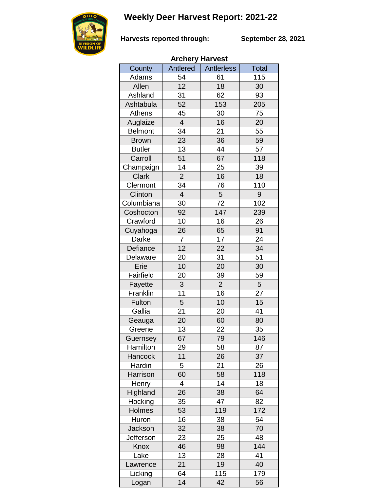## **Weekly Deer Harvest Report: 2021-22**



**Harvests reported through:** 

**September 28, 2021**

| <b>Archery Harvest</b> |                         |                      |                  |  |  |
|------------------------|-------------------------|----------------------|------------------|--|--|
| County                 | Antlered                | <b>Antlerless</b>    | <b>Total</b>     |  |  |
| Adams                  | 54                      | 61                   | 115              |  |  |
| Allen                  | 12                      | 18                   | 30               |  |  |
| Ashland                | 31                      | 62                   | 93               |  |  |
| Ashtabula              | 52                      | 153                  | 205              |  |  |
| Athens                 | 45                      | 30                   | 75               |  |  |
| Auglaize               | $\overline{\mathbf{4}}$ | 16                   | 20               |  |  |
| <b>Belmont</b>         | 34                      | 21                   | 55               |  |  |
| <b>Brown</b>           | $\overline{23}$         | 36                   | 59               |  |  |
| <b>Butler</b>          | 13                      | 44                   | 57               |  |  |
| Carroll                | 51                      | 67                   | 118              |  |  |
| Champaign              | 14                      | 25                   | 39               |  |  |
| Clark                  | $\overline{2}$          | 16                   | 18               |  |  |
| Clermont               | 34                      | 76                   | 110              |  |  |
| Clinton                | $\overline{4}$          | $\overline{5}$       | $\boldsymbol{9}$ |  |  |
| Columbiana             | 30                      | $\overline{72}$      | 102              |  |  |
| Coshocton              | 92                      | 147                  | 239              |  |  |
| Crawford               | 10                      | 16                   | 26               |  |  |
| Cuyahoga               | 26                      | 65                   | 91               |  |  |
| Darke                  | $\overline{7}$          | 17                   | 24               |  |  |
| Defiance               | $\overline{12}$         | $\overline{22}$      | $\overline{34}$  |  |  |
| Delaware               | 20                      | 31                   | 51               |  |  |
|                        | 10                      | 20                   | 30               |  |  |
| Erie                   | 20                      |                      |                  |  |  |
| Fairfield              | $\mathsf 3$             | 39<br>$\overline{2}$ | 59<br>5          |  |  |
| Fayette                |                         | 16                   | 27               |  |  |
| Franklin               | 11                      |                      |                  |  |  |
| Fulton                 | 5                       | 10                   | 15               |  |  |
| Gallia                 | 21                      | 20                   | 41               |  |  |
| Geauga                 | 20                      | 60                   | 80               |  |  |
| Greene                 | 13                      | 22                   | 35               |  |  |
| Guernsey               | 67                      | 79                   | 146              |  |  |
| Hamilton               | 29                      | 58                   | 87               |  |  |
| Hancock                | 11                      | 26                   | 37               |  |  |
| Hardin                 | 5                       | 21                   | 26               |  |  |
| Harrison               | 60                      | 58                   | 118              |  |  |
| Henry                  | 4                       | 14                   | 18               |  |  |
| Highland               | 26                      | 38                   | 64               |  |  |
| Hocking                | 35                      | 47                   | 82               |  |  |
| Holmes                 | 53                      | 119                  | 172              |  |  |
| Huron                  | 16                      | 38                   | 54               |  |  |
| Jackson                | 32                      | 38                   | 70               |  |  |
| Jefferson              | 23                      | 25                   | 48               |  |  |
| Knox                   | 46                      | 98                   | 144              |  |  |
| Lake                   | 13                      | 28                   | 41               |  |  |
| Lawrence               | 21                      | 19                   | 40               |  |  |
| Licking                | 64                      | 115                  | 179              |  |  |
| Logan                  | 14                      | 42                   | 56               |  |  |